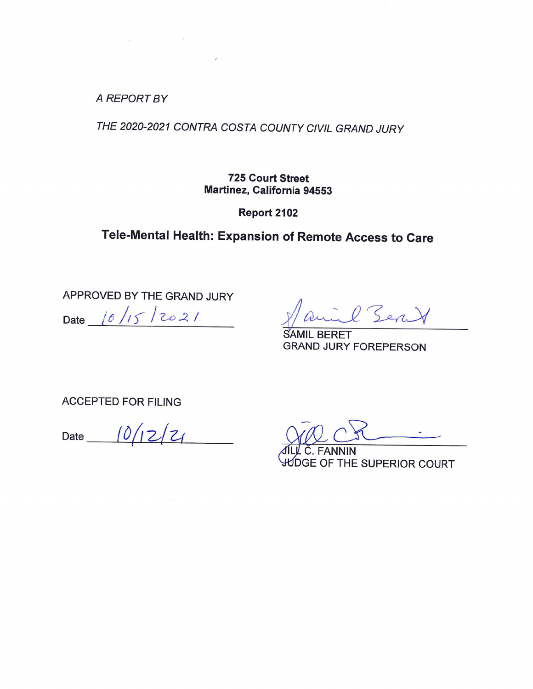**A REPORT BY** 

 $\label{eq:2.1} \mathcal{E} = \mathcal{E} \left( \mathcal{E} \right) \mathcal{E} \left( \mathcal{E} \right)$ 

 $\overline{\phantom{a}}$ 

THE 2020-2021 CONTRA COSTA COUNTY CIVIL GRAND JURY

**725 Court Street** Martinez, California 94553

Report 2102

Tele-Mental Health: Expansion of Remote Access to Care

APPROVED BY THE GRAND JURY Date  $10/15/2021$ 

l Sent

**SAMIL BERET GRAND JURY FOREPERSON** 

**ACCEPTED FOR FILING** 

Date  $10/12/21$ 

JNIN GE OF THE SUPERIOR COURT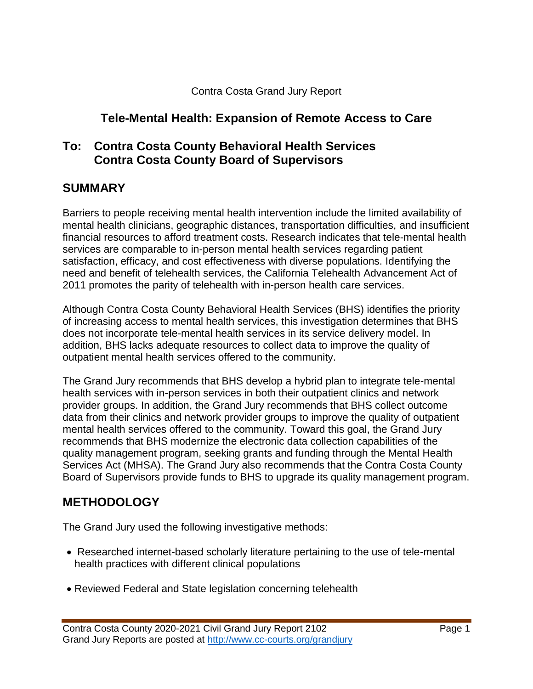### **Tele-Mental Health: Expansion of Remote Access to Care**

#### **To: Contra Costa County Behavioral Health Services Contra Costa County Board of Supervisors**

#### **SUMMARY**

Barriers to people receiving mental health intervention include the limited availability of mental health clinicians, geographic distances, transportation difficulties, and insufficient financial resources to afford treatment costs. Research indicates that tele-mental health services are comparable to in-person mental health services regarding patient satisfaction, efficacy, and cost effectiveness with diverse populations. Identifying the need and benefit of telehealth services, the California Telehealth Advancement Act of 2011 promotes the parity of telehealth with in-person health care services.

Although Contra Costa County Behavioral Health Services (BHS) identifies the priority of increasing access to mental health services, this investigation determines that BHS does not incorporate tele-mental health services in its service delivery model. In addition, BHS lacks adequate resources to collect data to improve the quality of outpatient mental health services offered to the community.

The Grand Jury recommends that BHS develop a hybrid plan to integrate tele-mental health services with in-person services in both their outpatient clinics and network provider groups. In addition, the Grand Jury recommends that BHS collect outcome data from their clinics and network provider groups to improve the quality of outpatient mental health services offered to the community. Toward this goal, the Grand Jury recommends that BHS modernize the electronic data collection capabilities of the quality management program, seeking grants and funding through the Mental Health Services Act (MHSA). The Grand Jury also recommends that the Contra Costa County Board of Supervisors provide funds to BHS to upgrade its quality management program.

#### **METHODOLOGY**

The Grand Jury used the following investigative methods:

- Researched internet-based scholarly literature pertaining to the use of tele-mental health practices with different clinical populations
- Reviewed Federal and State legislation concerning telehealth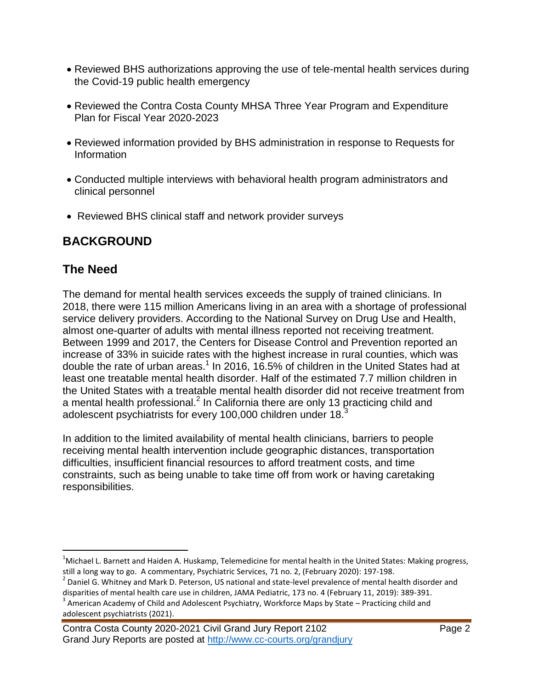- Reviewed BHS authorizations approving the use of tele-mental health services during the Covid-19 public health emergency
- Reviewed the Contra Costa County MHSA Three Year Program and Expenditure Plan for Fiscal Year 2020-2023
- Reviewed information provided by BHS administration in response to Requests for Information
- Conducted multiple interviews with behavioral health program administrators and clinical personnel
- Reviewed BHS clinical staff and network provider surveys

# **BACKGROUND**

## **The Need**

The demand for mental health services exceeds the supply of trained clinicians. In 2018, there were 115 million Americans living in an area with a shortage of professional service delivery providers. According to the National Survey on Drug Use and Health, almost one-quarter of adults with mental illness reported not receiving treatment. Between 1999 and 2017, the Centers for Disease Control and Prevention reported an increase of 33% in suicide rates with the highest increase in rural counties, which was double the rate of urban areas.<sup>1</sup> In 2016, 16.5% of children in the United States had at least one treatable mental health disorder. Half of the estimated 7.7 million children in the United States with a treatable mental health disorder did not receive treatment from a mental health professional.<sup>2</sup> In California there are only 13 practicing child and adolescent psychiatrists for every 100,000 children under  $18.<sup>3</sup>$ 

In addition to the limited availability of mental health clinicians, barriers to people receiving mental health intervention include geographic distances, transportation difficulties, insufficient financial resources to afford treatment costs, and time constraints, such as being unable to take time off from work or having caretaking responsibilities.

Contra Costa County 2020-2021 Civil Grand Jury Report 2102 Page 2 Grand Jury Reports are posted at http://www.cc-courts.org/grandjury

 $\overline{a}$ <sup>1</sup>Michael L. Barnett and Haiden A. Huskamp, Telemedicine for mental health in the United States: Making progress, still a long way to go. A commentary, Psychiatric Services, 71 no. 2, (February 2020): 197-198.

 $^{2}$  Daniel G. Whitney and Mark D. Peterson, US national and state-level prevalence of mental health disorder and disparities of mental health care use in children, JAMA Pediatric, 173 no. 4 (February 11, 2019): 389-391.

 $3$  American Academy of Child and Adolescent Psychiatry, Workforce Maps by State – Practicing child and adolescent psychiatrists (2021).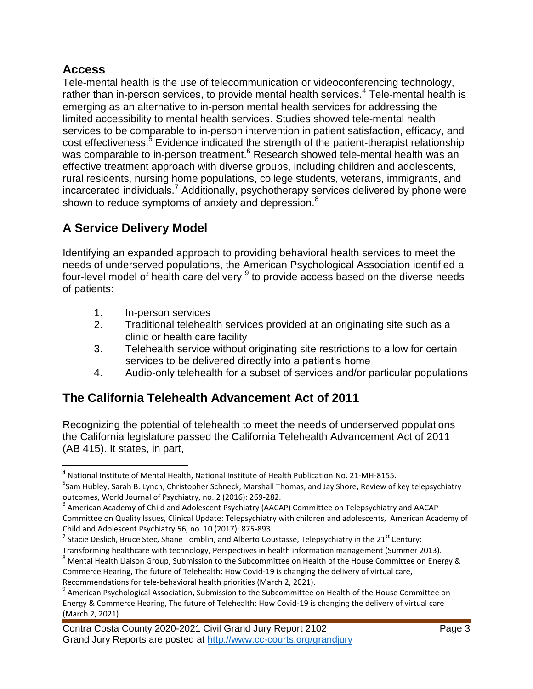### **Access**

 $\overline{a}$ 

Tele-mental health is the use of telecommunication or videoconferencing technology, rather than in-person services, to provide mental health services. $4$  Tele-mental health is emerging as an alternative to in-person mental health services for addressing the limited accessibility to mental health services. Studies showed tele-mental health services to be comparable to in-person intervention in patient satisfaction, efficacy, and cost effectiveness.<sup>5</sup> Evidence indicated the strength of the patient-therapist relationship was comparable to in-person treatment.<sup>6</sup> Research showed tele-mental health was an effective treatment approach with diverse groups, including children and adolescents, rural residents, nursing home populations, college students, veterans, immigrants, and incarcerated individuals.<sup>7</sup> Additionally, psychotherapy services delivered by phone were shown to reduce symptoms of anxiety and depression.<sup>8</sup>

# **A Service Delivery Model**

Identifying an expanded approach to providing behavioral health services to meet the needs of underserved populations, the American Psychological Association identified a four-level model of health care delivery  $9$  to provide access based on the diverse needs of patients:

- 1. In-person services
- 2. Traditional telehealth services provided at an originating site such as a clinic or health care facility
- 3. Telehealth service without originating site restrictions to allow for certain services to be delivered directly into a patient's home
- 4. Audio-only telehealth for a subset of services and/or particular populations

### **The California Telehealth Advancement Act of 2011**

Recognizing the potential of telehealth to meet the needs of underserved populations the California legislature passed the California Telehealth Advancement Act of 2011 (AB 415). It states, in part,

<sup>&</sup>lt;sup>4</sup> National Institute of Mental Health, National Institute of Health Publication No. 21-MH-8155.

<sup>&</sup>lt;sup>5</sup>Sam Hubley, Sarah B. Lynch, Christopher Schneck, Marshall Thomas, and Jay Shore, Review of key telepsychiatry outcomes, World Journal of Psychiatry, no. 2 (2016): 269-282.

<sup>&</sup>lt;sup>6</sup> American Academy of Child and Adolescent Psychiatry (AACAP) Committee on Telepsychiatry and AACAP Committee on Quality Issues, Clinical Update: Telepsychiatry with children and adolescents, American Academy of Child and Adolescent Psychiatry 56, no. 10 (2017): 875-893.

<sup>&</sup>lt;sup>7</sup> Stacie Deslich, Bruce Stec, Shane Tomblin, and Alberto Coustasse, Telepsychiatry in the 21<sup>st</sup> Century:

Transforming healthcare with technology, Perspectives in health information management (Summer 2013). <sup>8</sup> Mental Health Liaison Group, Submission to the Subcommittee on Health of the House Committee on Energy & Commerce Hearing, The future of Telehealth: How Covid-19 is changing the delivery of virtual care, Recommendations for tele-behavioral health priorities (March 2, 2021).

<sup>&</sup>lt;sup>9</sup> American Psychological Association, Submission to the Subcommittee on Health of the House Committee on Energy & Commerce Hearing, The future of Telehealth: How Covid-19 is changing the delivery of virtual care (March 2, 2021).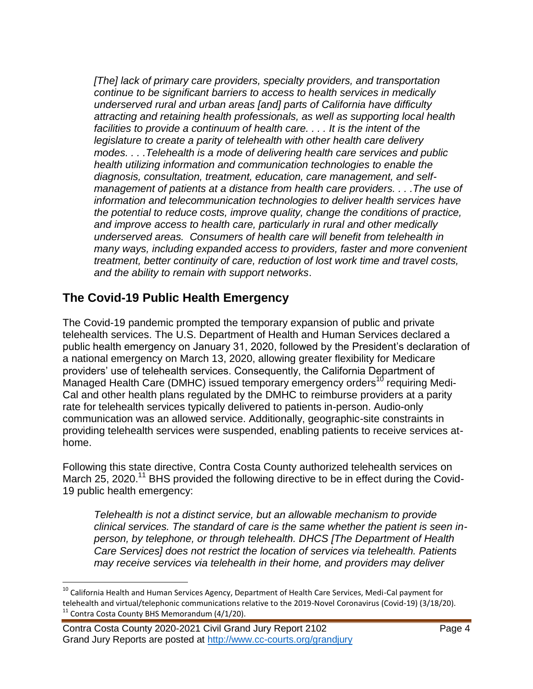*[The] lack of primary care providers, specialty providers, and transportation continue to be significant barriers to access to health services in medically underserved rural and urban areas [and] parts of California have difficulty attracting and retaining health professionals, as well as supporting local health facilities to provide a continuum of health care. . . . It is the intent of the legislature to create a parity of telehealth with other health care delivery modes. . . .Telehealth is a mode of delivering health care services and public health utilizing information and communication technologies to enable the diagnosis, consultation, treatment, education, care management, and selfmanagement of patients at a distance from health care providers. . . .The use of information and telecommunication technologies to deliver health services have the potential to reduce costs, improve quality, change the conditions of practice, and improve access to health care, particularly in rural and other medically underserved areas. Consumers of health care will benefit from telehealth in many ways, including expanded access to providers, faster and more convenient treatment, better continuity of care, reduction of lost work time and travel costs, and the ability to remain with support networks*.

### **The Covid-19 Public Health Emergency**

The Covid-19 pandemic prompted the temporary expansion of public and private telehealth services. The U.S. Department of Health and Human Services declared a public health emergency on January 31, 2020, followed by the President's declaration of a national emergency on March 13, 2020, allowing greater flexibility for Medicare providers' use of telehealth services. Consequently, the California Department of Managed Health Care (DMHC) issued temporary emergency orders<sup>10</sup> requiring Medi-Cal and other health plans regulated by the DMHC to reimburse providers at a parity rate for telehealth services typically delivered to patients in-person. Audio-only communication was an allowed service. Additionally, geographic-site constraints in providing telehealth services were suspended, enabling patients to receive services athome.

Following this state directive, Contra Costa County authorized telehealth services on March 25, 2020.<sup>11</sup> BHS provided the following directive to be in effect during the Covid-19 public health emergency:

*Telehealth is not a distinct service, but an allowable mechanism to provide clinical services. The standard of care is the same whether the patient is seen inperson, by telephone, or through telehealth. DHCS [The Department of Health Care Services] does not restrict the location of services via telehealth. Patients may receive services via telehealth in their home, and providers may deliver* 

 $\overline{a}$ 

 $^{10}$  California Health and Human Services Agency, Department of Health Care Services, Medi-Cal payment for telehealth and virtual/telephonic communications relative to the 2019-Novel Coronavirus (Covid-19) (3/18/20).  $11$  Contra Costa County BHS Memorandum (4/1/20).

Contra Costa County 2020-2021 Civil Grand Jury Report 2102 Page 4 Grand Jury Reports are posted at http://www.cc-courts.org/grandjury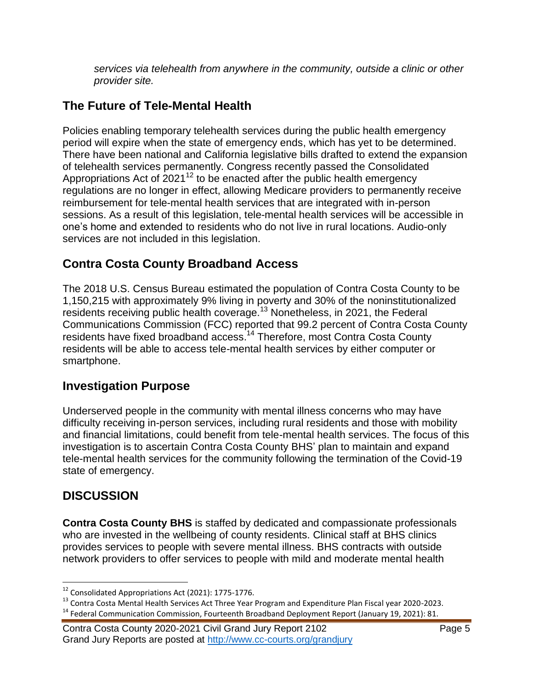*services via telehealth from anywhere in the community, outside a clinic or other provider site.*

# **The Future of Tele-Mental Health**

Policies enabling temporary telehealth services during the public health emergency period will expire when the state of emergency ends, which has yet to be determined. There have been national and California legislative bills drafted to extend the expansion of telehealth services permanently. Congress recently passed the Consolidated Appropriations Act of  $2021^{12}$  to be enacted after the public health emergency regulations are no longer in effect, allowing Medicare providers to permanently receive reimbursement for tele-mental health services that are integrated with in-person sessions. As a result of this legislation, tele-mental health services will be accessible in one's home and extended to residents who do not live in rural locations. Audio-only services are not included in this legislation.

## **Contra Costa County Broadband Access**

The 2018 U.S. Census Bureau estimated the population of Contra Costa County to be 1,150,215 with approximately 9% living in poverty and 30% of the noninstitutionalized residents receiving public health coverage.<sup>13</sup> Nonetheless, in 2021, the Federal Communications Commission (FCC) reported that 99.2 percent of Contra Costa County residents have fixed broadband access.<sup>14</sup> Therefore, most Contra Costa County residents will be able to access tele-mental health services by either computer or smartphone.

### **Investigation Purpose**

Underserved people in the community with mental illness concerns who may have difficulty receiving in-person services, including rural residents and those with mobility and financial limitations, could benefit from tele-mental health services. The focus of this investigation is to ascertain Contra Costa County BHS' plan to maintain and expand tele-mental health services for the community following the termination of the Covid-19 state of emergency.

### **DISCUSSION**

 $\overline{a}$ 

**Contra Costa County BHS** is staffed by dedicated and compassionate professionals who are invested in the wellbeing of county residents. Clinical staff at BHS clinics provides services to people with severe mental illness. BHS contracts with outside network providers to offer services to people with mild and moderate mental health

 $12$  Consolidated Appropriations Act (2021): 1775-1776.

<sup>&</sup>lt;sup>13</sup> Contra Costa Mental Health Services Act Three Year Program and Expenditure Plan Fiscal year 2020-2023.

<sup>&</sup>lt;sup>14</sup> Federal Communication Commission, Fourteenth Broadband Deployment Report (January 19, 2021): 81.

Contra Costa County 2020-2021 Civil Grand Jury Report 2102 Page 5 Grand Jury Reports are posted at http://www.cc-courts.org/grandjury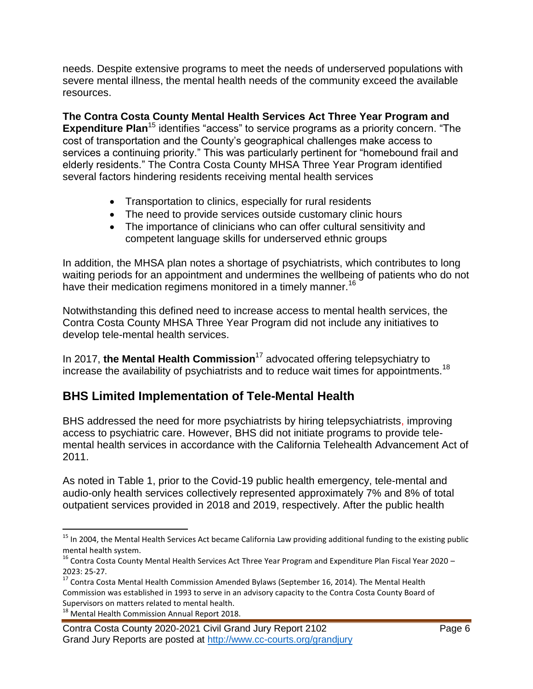needs. Despite extensive programs to meet the needs of underserved populations with severe mental illness, the mental health needs of the community exceed the available resources.

**The Contra Costa County Mental Health Services Act Three Year Program and Expenditure Plan**<sup>15</sup> identifies "access" to service programs as a priority concern. "The cost of transportation and the County's geographical challenges make access to services a continuing priority." This was particularly pertinent for "homebound frail and elderly residents." The Contra Costa County MHSA Three Year Program identified several factors hindering residents receiving mental health services

- Transportation to clinics, especially for rural residents
- The need to provide services outside customary clinic hours
- The importance of clinicians who can offer cultural sensitivity and competent language skills for underserved ethnic groups

In addition, the MHSA plan notes a shortage of psychiatrists, which contributes to long waiting periods for an appointment and undermines the wellbeing of patients who do not have their medication regimens monitored in a timely manner.<sup>16</sup>

Notwithstanding this defined need to increase access to mental health services, the Contra Costa County MHSA Three Year Program did not include any initiatives to develop tele-mental health services.

In 2017, **the Mental Health Commission**<sup>17</sup> advocated offering telepsychiatry to increase the availability of psychiatrists and to reduce wait times for appointments.<sup>18</sup>

# **BHS Limited Implementation of Tele-Mental Health**

BHS addressed the need for more psychiatrists by hiring telepsychiatrists, improving access to psychiatric care. However, BHS did not initiate programs to provide telemental health services in accordance with the California Telehealth Advancement Act of 2011.

As noted in Table 1, prior to the Covid-19 public health emergency, tele-mental and audio-only health services collectively represented approximately 7% and 8% of total outpatient services provided in 2018 and 2019, respectively. After the public health

 $\overline{a}$ 

<sup>&</sup>lt;sup>15</sup> In 2004, the Mental Health Services Act became California Law providing additional funding to the existing public mental health system.

<sup>&</sup>lt;sup>16</sup> Contra Costa County Mental Health Services Act Three Year Program and Expenditure Plan Fiscal Year 2020 – 2023: 25-27.

 $^{17}$  Contra Costa Mental Health Commission Amended Bylaws (September 16, 2014). The Mental Health Commission was established in 1993 to serve in an advisory capacity to the Contra Costa County Board of Supervisors on matters related to mental health.

<sup>&</sup>lt;sup>18</sup> Mental Health Commission Annual Report 2018.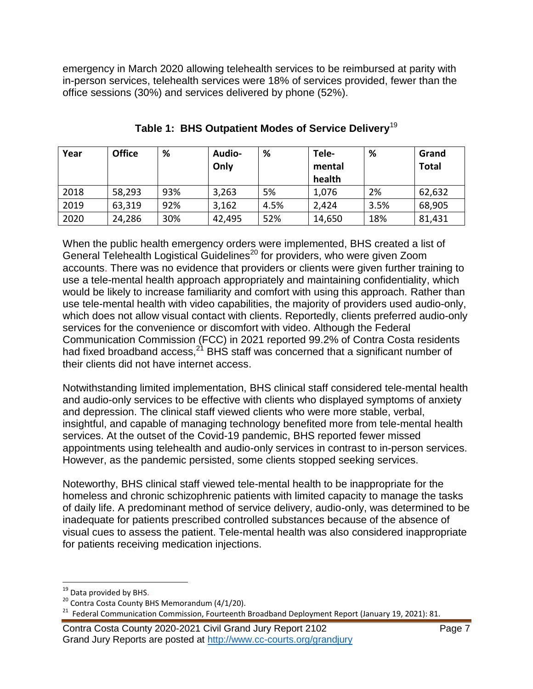emergency in March 2020 allowing telehealth services to be reimbursed at parity with in-person services, telehealth services were 18% of services provided, fewer than the office sessions (30%) and services delivered by phone (52%).

| Year | <b>Office</b> | %   | Audio-<br>Only | %    | Tele-<br>mental | %    | Grand<br><b>Total</b> |
|------|---------------|-----|----------------|------|-----------------|------|-----------------------|
|      |               |     |                |      | health          |      |                       |
| 2018 | 58,293        | 93% | 3,263          | 5%   | 1,076           | 2%   | 62,632                |
| 2019 | 63,319        | 92% | 3,162          | 4.5% | 2,424           | 3.5% | 68,905                |
| 2020 | 24,286        | 30% | 42,495         | 52%  | 14,650          | 18%  | 81,431                |

**Table 1: BHS Outpatient Modes of Service Delivery**<sup>19</sup>

When the public health emergency orders were implemented, BHS created a list of General Telehealth Logistical Guidelines<sup>20</sup> for providers, who were given Zoom accounts. There was no evidence that providers or clients were given further training to use a tele-mental health approach appropriately and maintaining confidentiality, which would be likely to increase familiarity and comfort with using this approach. Rather than use tele-mental health with video capabilities, the majority of providers used audio-only, which does not allow visual contact with clients. Reportedly, clients preferred audio-only services for the convenience or discomfort with video. Although the Federal Communication Commission (FCC) in 2021 reported 99.2% of Contra Costa residents had fixed broadband access, $^{21}$  BHS staff was concerned that a significant number of their clients did not have internet access.

Notwithstanding limited implementation, BHS clinical staff considered tele-mental health and audio-only services to be effective with clients who displayed symptoms of anxiety and depression. The clinical staff viewed clients who were more stable, verbal, insightful, and capable of managing technology benefited more from tele-mental health services. At the outset of the Covid-19 pandemic, BHS reported fewer missed appointments using telehealth and audio-only services in contrast to in-person services. However, as the pandemic persisted, some clients stopped seeking services.

Noteworthy, BHS clinical staff viewed tele-mental health to be inappropriate for the homeless and chronic schizophrenic patients with limited capacity to manage the tasks of daily life. A predominant method of service delivery, audio-only, was determined to be inadequate for patients prescribed controlled substances because of the absence of visual cues to assess the patient. Tele-mental health was also considered inappropriate for patients receiving medication injections.

 $\overline{a}$ 

Contra Costa County 2020-2021 Civil Grand Jury Report 2102 Page 7 Grand Jury Reports are posted at http://www.cc-courts.org/grandjury

<sup>&</sup>lt;sup>19</sup> Data provided by BHS.

<sup>20</sup> Contra Costa County BHS Memorandum (4/1/20).

 $^{21}$  Federal Communication Commission, Fourteenth Broadband Deployment Report (January 19, 2021): 81.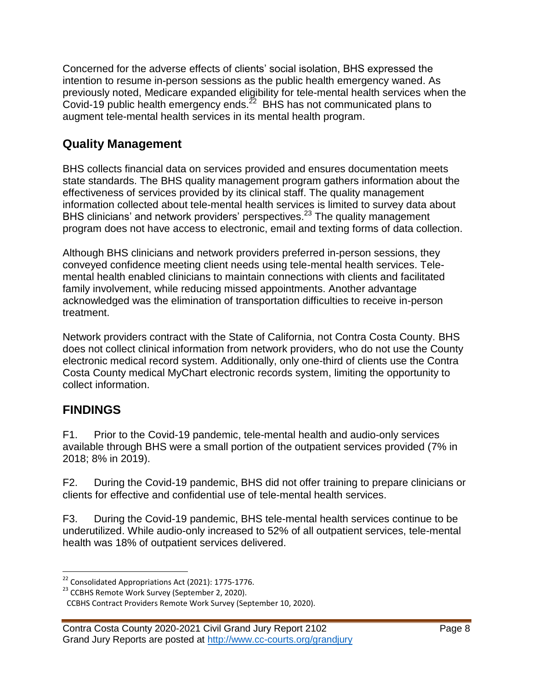Concerned for the adverse effects of clients' social isolation, BHS expressed the intention to resume in-person sessions as the public health emergency waned. As previously noted, Medicare expanded eligibility for tele-mental health services when the Covid-19 public health emergency ends. $^{22}$  BHS has not communicated plans to augment tele-mental health services in its mental health program.

## **Quality Management**

BHS collects financial data on services provided and ensures documentation meets state standards. The BHS quality management program gathers information about the effectiveness of services provided by its clinical staff. The quality management information collected about tele-mental health services is limited to survey data about BHS clinicians' and network providers' perspectives.<sup>23</sup> The quality management program does not have access to electronic, email and texting forms of data collection.

Although BHS clinicians and network providers preferred in-person sessions, they conveyed confidence meeting client needs using tele-mental health services. Telemental health enabled clinicians to maintain connections with clients and facilitated family involvement, while reducing missed appointments. Another advantage acknowledged was the elimination of transportation difficulties to receive in-person treatment.

Network providers contract with the State of California, not Contra Costa County. BHS does not collect clinical information from network providers, who do not use the County electronic medical record system. Additionally, only one-third of clients use the Contra Costa County medical MyChart electronic records system, limiting the opportunity to collect information.

# **FINDINGS**

F1. Prior to the Covid-19 pandemic, tele-mental health and audio-only services available through BHS were a small portion of the outpatient services provided (7% in 2018; 8% in 2019).

F2. During the Covid-19 pandemic, BHS did not offer training to prepare clinicians or clients for effective and confidential use of tele-mental health services.

F3. During the Covid-19 pandemic, BHS tele-mental health services continue to be underutilized. While audio-only increased to 52% of all outpatient services, tele-mental health was 18% of outpatient services delivered.

 $\overline{a}$  $22$  Consolidated Appropriations Act (2021): 1775-1776.

<sup>&</sup>lt;sup>23</sup> CCBHS Remote Work Survey (September 2, 2020).

CCBHS Contract Providers Remote Work Survey (September 10, 2020).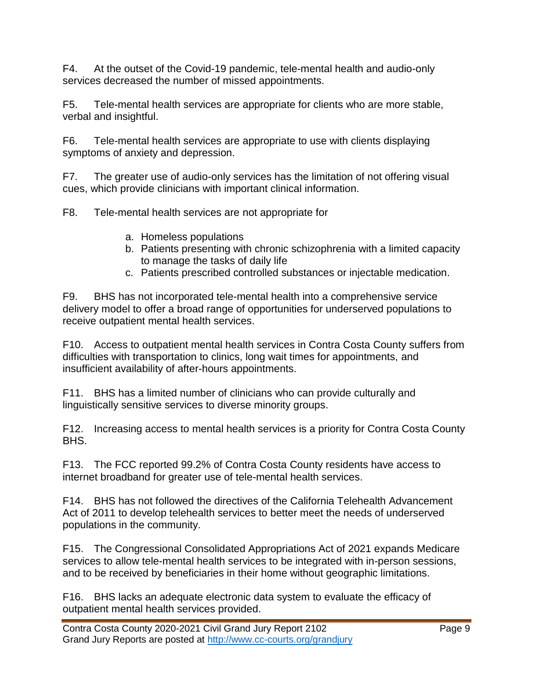F4. At the outset of the Covid-19 pandemic, tele-mental health and audio-only services decreased the number of missed appointments.

F5. Tele-mental health services are appropriate for clients who are more stable, verbal and insightful.

F6. Tele-mental health services are appropriate to use with clients displaying symptoms of anxiety and depression.

F7. The greater use of audio-only services has the limitation of not offering visual cues, which provide clinicians with important clinical information.

F8. Tele-mental health services are not appropriate for

- a. Homeless populations
- b. Patients presenting with chronic schizophrenia with a limited capacity to manage the tasks of daily life
- c. Patients prescribed controlled substances or injectable medication.

F9. BHS has not incorporated tele-mental health into a comprehensive service delivery model to offer a broad range of opportunities for underserved populations to receive outpatient mental health services.

F10. Access to outpatient mental health services in Contra Costa County suffers from difficulties with transportation to clinics, long wait times for appointments, and insufficient availability of after-hours appointments.

F11. BHS has a limited number of clinicians who can provide culturally and linguistically sensitive services to diverse minority groups.

F12. Increasing access to mental health services is a priority for Contra Costa County BHS.

F13. The FCC reported 99.2% of Contra Costa County residents have access to internet broadband for greater use of tele-mental health services.

F14. BHS has not followed the directives of the California Telehealth Advancement Act of 2011 to develop telehealth services to better meet the needs of underserved populations in the community.

F15. The Congressional Consolidated Appropriations Act of 2021 expands Medicare services to allow tele-mental health services to be integrated with in-person sessions, and to be received by beneficiaries in their home without geographic limitations.

F16. BHS lacks an adequate electronic data system to evaluate the efficacy of outpatient mental health services provided.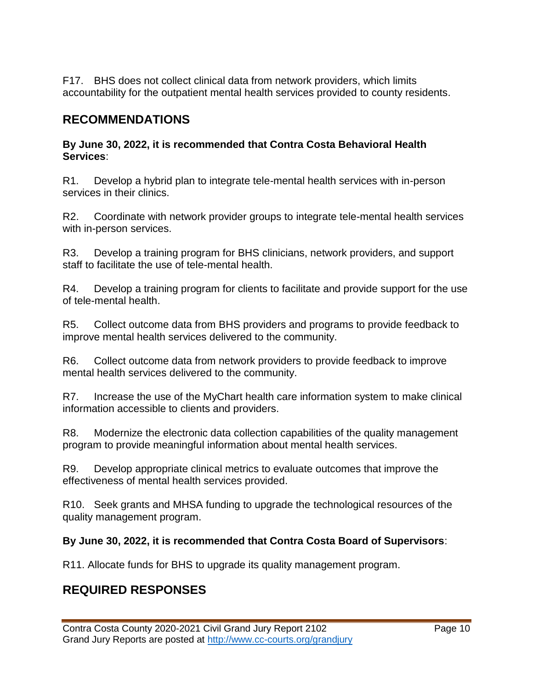F17. BHS does not collect clinical data from network providers, which limits accountability for the outpatient mental health services provided to county residents.

## **RECOMMENDATIONS**

#### **By June 30, 2022, it is recommended that Contra Costa Behavioral Health Services**:

R1. Develop a hybrid plan to integrate tele-mental health services with in-person services in their clinics.

R2. Coordinate with network provider groups to integrate tele-mental health services with in-person services.

R3. Develop a training program for BHS clinicians, network providers, and support staff to facilitate the use of tele-mental health.

R4. Develop a training program for clients to facilitate and provide support for the use of tele-mental health.

R5. Collect outcome data from BHS providers and programs to provide feedback to improve mental health services delivered to the community.

R6. Collect outcome data from network providers to provide feedback to improve mental health services delivered to the community.

R7. Increase the use of the MyChart health care information system to make clinical information accessible to clients and providers.

R8. Modernize the electronic data collection capabilities of the quality management program to provide meaningful information about mental health services.

R9. Develop appropriate clinical metrics to evaluate outcomes that improve the effectiveness of mental health services provided.

R10. Seek grants and MHSA funding to upgrade the technological resources of the quality management program.

#### **By June 30, 2022, it is recommended that Contra Costa Board of Supervisors**:

R11. Allocate funds for BHS to upgrade its quality management program.

# **REQUIRED RESPONSES**